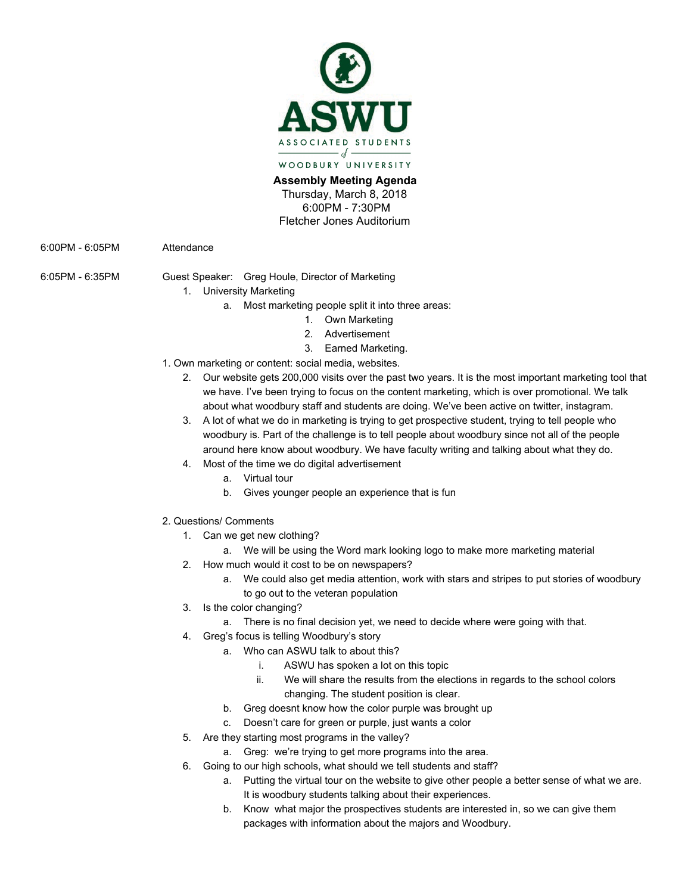

**Assembly Meeting Agenda**  Thursday, March 8, 2018 6:00PM - 7:30PM Fletcher Jones Auditorium

6:00PM - 6:05PM Attendance

6:05PM - 6:35PM Guest Speaker: Greg Houle, Director of Marketing

- 
- 1. University Marketing
	- a. Most marketing people split it into three areas:
		- 1. Own Marketing
		- 2. Advertisement
		- 3. Earned Marketing.
- 1. Own marketing or content: social media, websites.
	- 2. Our website gets 200,000 visits over the past two years. It is the most important marketing tool that we have. I've been trying to focus on the content marketing, which is over promotional. We talk about what woodbury staff and students are doing. We've been active on twitter, instagram.
	- 3. A lot of what we do in marketing is trying to get prospective student, trying to tell people who woodbury is. Part of the challenge is to tell people about woodbury since not all of the people around here know about woodbury. We have faculty writing and talking about what they do.
	- 4. Most of the time we do digital advertisement
		- a. Virtual tour
		- b. Gives younger people an experience that is fun
- 2. Questions/ Comments
	- 1. Can we get new clothing?
		- a. We will be using the Word mark looking logo to make more marketing material
	- 2. How much would it cost to be on newspapers?
		- a. We could also get media attention, work with stars and stripes to put stories of woodbury to go out to the veteran population
	- 3. Is the color changing?
		- a. There is no final decision yet, we need to decide where were going with that.
	- 4. Greg's focus is telling Woodbury's story
		- a. Who can ASWU talk to about this?
			- i. ASWU has spoken a lot on this topic
			- ii. We will share the results from the elections in regards to the school colors changing. The student position is clear.
			- b. Greg doesnt know how the color purple was brought up
			- c. Doesn't care for green or purple, just wants a color
	- 5. Are they starting most programs in the valley?
		- a. Greg: we're trying to get more programs into the area.
	- 6. Going to our high schools, what should we tell students and staff?
		- a. Putting the virtual tour on the website to give other people a better sense of what we are. It is woodbury students talking about their experiences.
		- b. Know what major the prospectives students are interested in, so we can give them packages with information about the majors and Woodbury.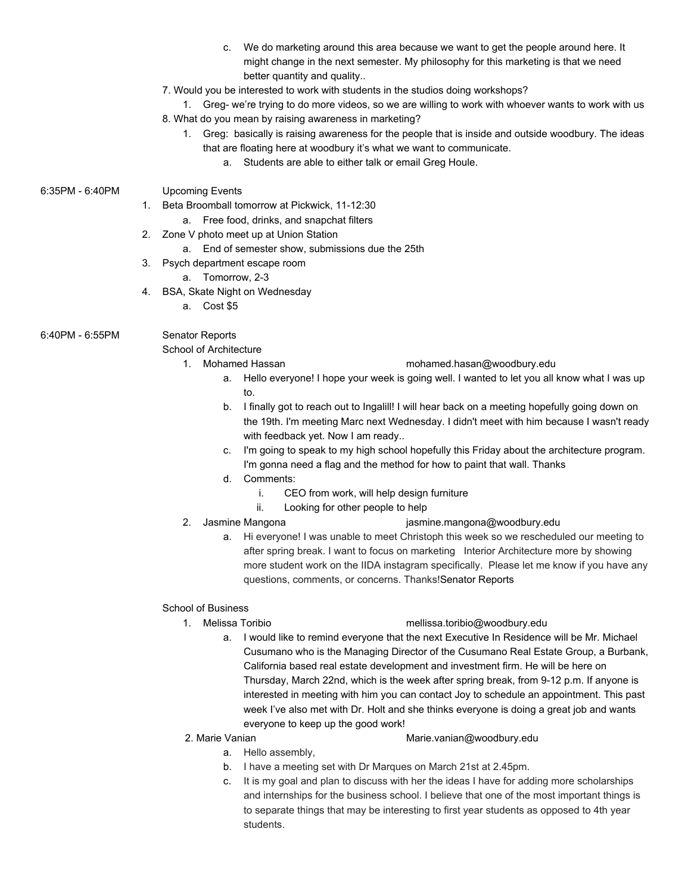- c. We do marketing around this area because we want to get the people around here. It might change in the next semester. My philosophy for this marketing is that we need better quantity and quality..
- 7. Would you be interested to work with students in the studios doing workshops?

1. Greg- we're trying to do more videos, so we are willing to work with whoever wants to work with us 8. What do you mean by raising awareness in marketing?

- 1. Greg: basically is raising awareness for the people that is inside and outside woodbury. The ideas that are floating here at woodbury it's what we want to communicate.
	- a. Students are able to either talk or email Greg Houle.

## 6:35PM - 6:40PM Upcoming Events

1. Beta Broomball tomorrow at Pickwick, 11-12:30

- a. Free food, drinks, and snapchat filters
- 2. Zone V photo meet up at Union Station
	- a. End of semester show, submissions due the 25th
- 3. Psych department escape room
	- a. Tomorrow, 2-3
- 4. BSA, Skate Night on Wednesday
	- a. Cost \$5

# 6:40PM - 6:55PM Senator Reports

School of Architecture

- 1. Mohamed Hassan m[ohamed.hasan@woodbury.edu](mailto:Mohamed.Hasan@woodbury.edu) 
	- a. Hello everyone! I hope your week is going well. I wanted to let you all know what I was up to.
	- b. I finally got to reach out to Ingalill! I will hear back on a meeting hopefully going down on the 19th. I'm meeting Marc next Wednesday. I didn't meet with him because I wasn't ready with feedback yet. Now I am ready..
	- c. I'm going to speak to my high school hopefully this Friday about the architecture program. I'm gonna need a flag and the method for how to paint that wall. Thanks
	- d. Comments:
		- i. CEO from work, will help design furniture
		- ii. Looking for other people to help
- 
- 2. Jasmine Mangona [jasmine.mangona@woodbury.edu](mailto:jasmine.mangona@woodbury.edu)
	- a. Hi everyone! I was unable to meet Christoph this week so we rescheduled our meeting to after spring break. I want to focus on marketing Interior Architecture more by showing more student work on the IIDA instagram specifically. Please let me know if you have any questions, comments, or concerns. Thanks!Senator Reports

## School of Business

## 1. Melissa Toribio [mellissa.toribio@w](mailto:mellytoribio@gmail.com)oodbury.edu

- a. I would like to remind everyone that the next Executive In Residence will be Mr. Michael Cusumano who is the Managing Director of the Cusumano Real Estate Group, a Burbank, California based real estate development and investment firm. He will be here on Thursday, March 22nd, which is the week after spring break, from 9-12 p.m. If anyone is interested in meeting with him you can contact Joy to schedule an appointment. This past week I've also met with Dr. Holt and she thinks everyone is doing a great job and wants everyone to keep up the good work!
- 

### 2. Marie Vanian [Marie.vanian@woodbury.edu](mailto:Marie.vanian@woodbury.edu)

- a. Hello assembly,
- b. I have a meeting set with Dr Marques on March 21st at 2.45pm.
- c. It is my goal and plan to discuss with her the ideas I have for adding more scholarships and internships for the business school. I believe that one of the most important things is to separate things that may be interesting to first year students as opposed to 4th year students.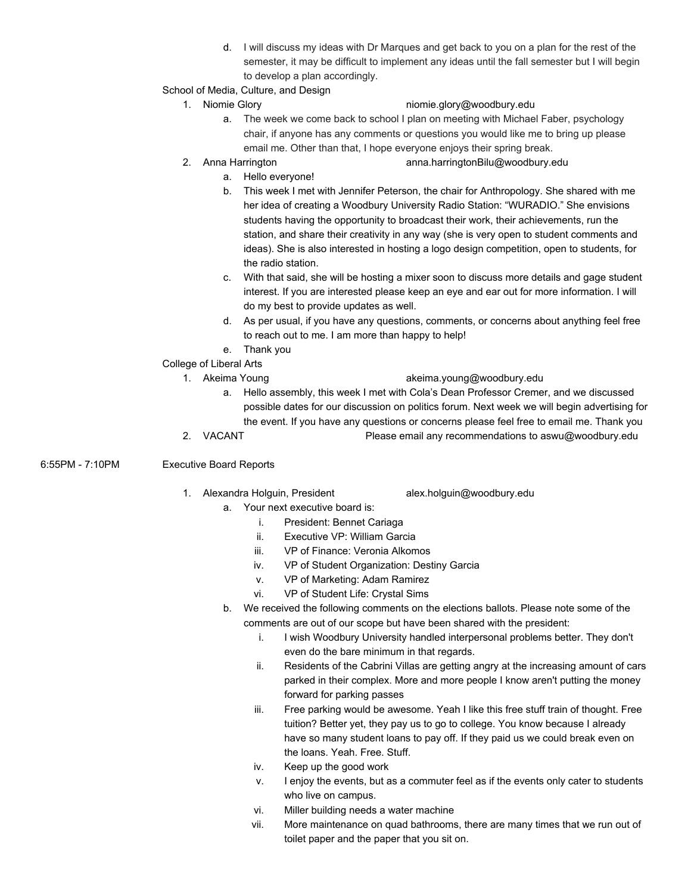- d. I will discuss my ideas with Dr Marques and get back to you on a plan for the rest of the semester, it may be difficult to implement any ideas until the fall semester but I will begin to develop a plan accordingly.
- School of Media, Culture, and Design
	-

# 1. Niomie Glory [niomie.glory@woodbury.edu](mailto:Niomie.Glory@woodbury.edu)

- a. The week we come back to school I plan on meeting with Michael Faber, psychology chair, if anyone has any comments or questions you would like me to bring up please email me. Other than that, I hope everyone enjoys their spring break.
- 
- 2. Anna Harrington anna.harringtonBilu@woodbury.edu
	- a. Hello everyone!
	- b. This week I met with Jennifer Peterson, the chair for Anthropology. She shared with me her idea of creating a Woodbury University Radio Station: "WURADIO." She envisions students having the opportunity to broadcast their work, their achievements, run the station, and share their creativity in any way (she is very open to student comments and ideas). She is also interested in hosting a logo design competition, open to students, for the radio station.
	- c. With that said, she will be hosting a mixer soon to discuss more details and gage student interest. If you are interested please keep an eye and ear out for more information. I will do my best to provide updates as well.
	- d. As per usual, if you have any questions, comments, or concerns about anything feel free to reach out to me. I am more than happy to help!
	- e. Thank you
- College of Liberal Arts
	-

### 1. Akeima Young akeima.young@woodbury.edu

- a. Hello assembly, this week I met with Cola's Dean Professor Cremer, and we discussed possible dates for our discussion on politics forum. Next week we will begin advertising for the event. If you have any questions or concerns please feel free to email me. Thank you
- 2. VACANT Please email any recommendations to aswu@woodbury.edu

6:55PM - 7:10PM Executive Board Reports

# 1. Alexandra Holguin, President alex.holguin@woodbury.edu

- a. Your next executive board is:
	- i. President: Bennet Cariaga
	- ii. Executive VP: William Garcia
	- iii. VP of Finance: Veronia Alkomos
	- iv. VP of Student Organization: Destiny Garcia
	- v. VP of Marketing: Adam Ramirez
	- vi. VP of Student Life: Crystal Sims
- b. We received the following comments on the elections ballots. Please note some of the comments are out of our scope but have been shared with the president:
	- i. I wish Woodbury University handled interpersonal problems better. They don't even do the bare minimum in that regards.
	- ii. Residents of the Cabrini Villas are getting angry at the increasing amount of cars parked in their complex. More and more people I know aren't putting the money forward for parking passes
	- iii. Free parking would be awesome. Yeah I like this free stuff train of thought. Free tuition? Better yet, they pay us to go to college. You know because I already have so many student loans to pay off. If they paid us we could break even on the loans. Yeah. Free. Stuff.
	- iv. Keep up the good work
	- v. I enjoy the events, but as a commuter feel as if the events only cater to students who live on campus.
	- vi. Miller building needs a water machine
	- vii. More maintenance on quad bathrooms, there are many times that we run out of toilet paper and the paper that you sit on.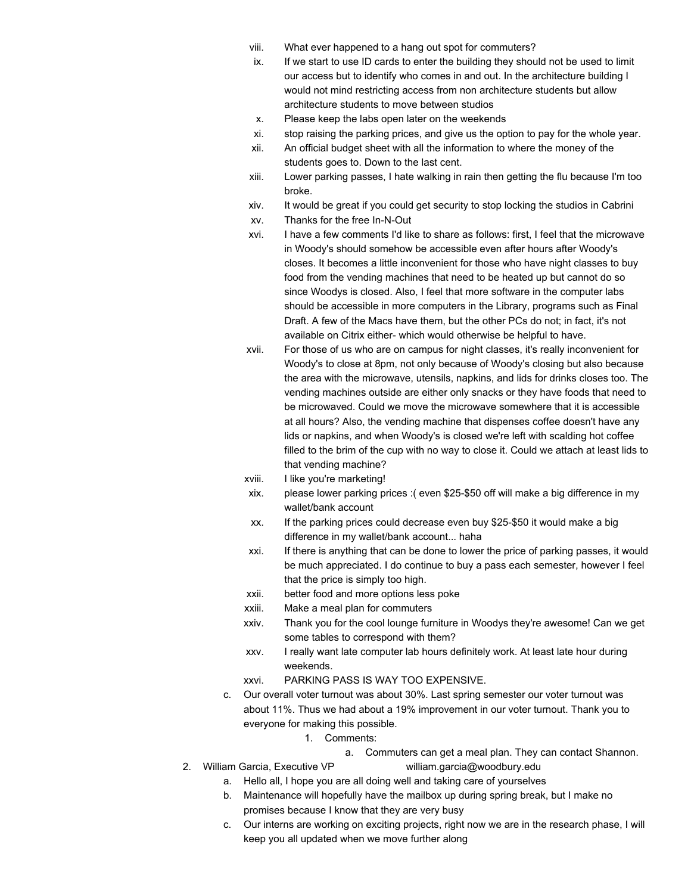- viii. What ever happened to a hang out spot for commuters?
- ix. If we start to use ID cards to enter the building they should not be used to limit our access but to identify who comes in and out. In the architecture building I would not mind restricting access from non architecture students but allow architecture students to move between studios
- x. Please keep the labs open later on the weekends
- xi. stop raising the parking prices, and give us the option to pay for the whole year.
- xii. An official budget sheet with all the information to where the money of the students goes to. Down to the last cent.
- xiii. Lower parking passes, I hate walking in rain then getting the flu because I'm too broke.
- xiv. It would be great if you could get security to stop locking the studios in Cabrini
- xv. Thanks for the free In-N-Out
- xvi. I have a few comments I'd like to share as follows: first, I feel that the microwave in Woody's should somehow be accessible even after hours after Woody's closes. It becomes a little inconvenient for those who have night classes to buy food from the vending machines that need to be heated up but cannot do so since Woodys is closed. Also, I feel that more software in the computer labs should be accessible in more computers in the Library, programs such as Final Draft. A few of the Macs have them, but the other PCs do not; in fact, it's not available on Citrix either- which would otherwise be helpful to have.
- xvii. For those of us who are on campus for night classes, it's really inconvenient for Woody's to close at 8pm, not only because of Woody's closing but also because the area with the microwave, utensils, napkins, and lids for drinks closes too. The vending machines outside are either only snacks or they have foods that need to be microwaved. Could we move the microwave somewhere that it is accessible at all hours? Also, the vending machine that dispenses coffee doesn't have any lids or napkins, and when Woody's is closed we're left with scalding hot coffee filled to the brim of the cup with no way to close it. Could we attach at least lids to that vending machine?
- xviii. I like you're marketing!
- xix. please lower parking prices :( even \$25-\$50 off will make a big difference in my wallet/bank account
- xx. If the parking prices could decrease even buy \$25-\$50 it would make a big difference in my wallet/bank account... haha
- xxi. If there is anything that can be done to lower the price of parking passes, it would be much appreciated. I do continue to buy a pass each semester, however I feel that the price is simply too high.
- xxii. better food and more options less poke
- xxiii. Make a meal plan for commuters
- xxiv. Thank you for the cool lounge furniture in Woodys they're awesome! Can we get some tables to correspond with them?
- xxv. I really want late computer lab hours definitely work. At least late hour during weekends.
- xxvi. PARKING PASS IS WAY TOO EXPENSIVE.
- c. Our overall voter turnout was about 30%. Last spring semester our voter turnout was about 11%. Thus we had about a 19% improvement in our voter turnout. Thank you to everyone for making this possible.
	- 1. Comments:
		- a. Commuters can get a meal plan. They can contact Shannon.
- 2. William Garcia, Executive VP [william.garcia@woodbury.edu](mailto:william.garcia@woodbury.edu)
	- a. Hello all, I hope you are all doing well and taking care of yourselves
	- b. Maintenance will hopefully have the mailbox up during spring break, but I make no promises because I know that they are very busy
	- c. Our interns are working on exciting projects, right now we are in the research phase, I will keep you all updated when we move further along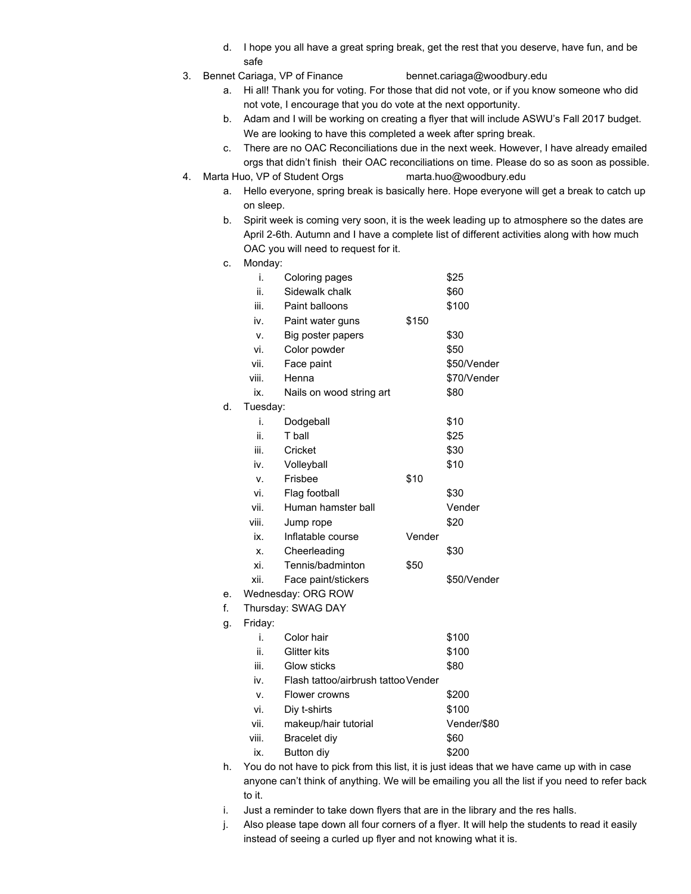- d. I hope you all have a great spring break, get the rest that you deserve, have fun, and be safe
- 
- 3. Bennet Cariaga, VP of Finance [bennet.cariaga@woodbury.edu](mailto:bennet.cariaga@woodbury.edu)
	- a. Hi all! Thank you for voting. For those that did not vote, or if you know someone who did not vote, I encourage that you do vote at the next opportunity.
	- b. Adam and I will be working on creating a flyer that will include ASWU's Fall 2017 budget. We are looking to have this completed a week after spring break.
	- c. There are no OAC Reconciliations due in the next week. However, I have already emailed orgs that didn't finish their OAC reconciliations on time. Please do so as soon as possible.
- 4. Marta Huo, VP of Student Orgs [marta.huo@woodbury.edu](mailto:marta.huo@woodbury.edu)
	- a. Hello everyone, spring break is basically here. Hope everyone will get a break to catch up on sleep.
	- b. Spirit week is coming very soon, it is the week leading up to atmosphere so the dates are April 2-6th. Autumn and I have a complete list of different activities along with how much OAC you will need to request for it.
	- c. Monday:

d.

g.

|    | i.                 | Coloring pages                      |        | \$25        |
|----|--------------------|-------------------------------------|--------|-------------|
|    | ii.                | Sidewalk chalk                      |        | \$60        |
|    | iii.               | Paint balloons                      |        | \$100       |
|    | iv.                | Paint water guns                    | \$150  |             |
|    | ٧.                 | Big poster papers                   |        | \$30        |
|    | vi.                | Color powder                        |        | \$50        |
|    | vii.               | Face paint                          |        | \$50/Vender |
|    | viii.              | Henna                               |        | \$70/Vender |
|    | ix.                | Nails on wood string art            |        | \$80        |
| d. |                    | Tuesday:                            |        |             |
|    | i.                 | Dodgeball                           |        | \$10        |
|    | ii.                | T ball                              |        | \$25        |
|    | iii.               | Cricket                             |        | \$30        |
|    | iv.                | Volleyball                          |        | \$10        |
|    | v.                 | Frisbee                             | \$10   |             |
|    | vi.                | Flag football                       |        | \$30        |
|    | vii.               | Human hamster ball                  |        | Vender      |
|    | viii.              | Jump rope                           |        | \$20        |
|    | ix.                | Inflatable course                   | Vender |             |
|    | Х.                 | Cheerleading                        |        | \$30        |
|    | xi.                | Tennis/badminton                    | \$50   |             |
|    | xii.               | Face paint/stickers                 |        | \$50/Vender |
| е. | Wednesday: ORG ROW |                                     |        |             |
| f. | Thursday: SWAG DAY |                                     |        |             |
| g. | Friday:            |                                     |        |             |
|    | i.                 | Color hair                          |        | \$100       |
|    | ii.                | <b>Glitter kits</b>                 |        | \$100       |
|    | iii.               | Glow sticks                         |        | \$80        |
|    | iv.                | Flash tattoo/airbrush tattoo Vender |        |             |
|    | v.                 | Flower crowns                       |        | \$200       |
|    | vi.                | Diy t-shirts                        |        | \$100       |
|    | vii.               | makeup/hair tutorial                |        | Vender/\$80 |
|    | viii.              | <b>Bracelet diy</b>                 |        | \$60        |
|    | ix.                | Button diy                          |        | \$200       |
|    |                    |                                     |        |             |

- h. You do not have to pick from this list, it is just ideas that we have came up with in case anyone can't think of anything. We will be emailing you all the list if you need to refer back to it.
- i. Just a reminder to take down flyers that are in the library and the res halls.
- j. Also please tape down all four corners of a flyer. It will help the students to read it easily instead of seeing a curled up flyer and not knowing what it is.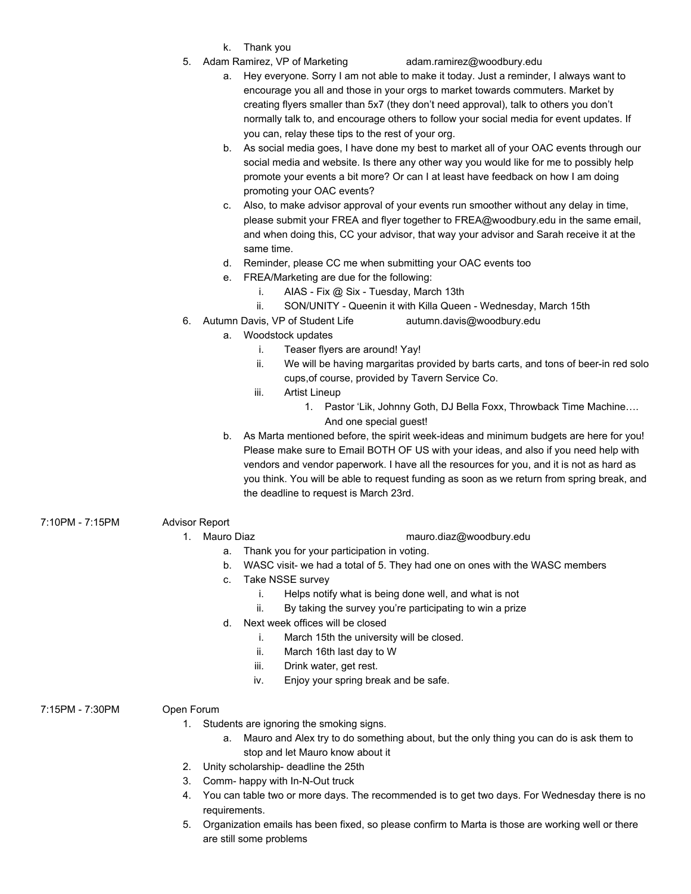- k. Thank you
- 5. Adam Ramirez, VP of Marketing adam.ramirez@woodbury.edu

- a. Hey everyone. Sorry I am not able to make it today. Just a reminder, I always want to encourage you all and those in your orgs to market towards commuters. Market by creating flyers smaller than 5x7 (they don't need approval), talk to others you don't normally talk to, and encourage others to follow your social media for event updates. If you can, relay these tips to the rest of your org.
- b. As social media goes, I have done my best to market all of your OAC events through our social media and website. Is there any other way you would like for me to possibly help promote your events a bit more? Or can I at least have feedback on how I am doing promoting your OAC events?
- c. Also, to make advisor approval of your events run smoother without any delay in time, please submit your FREA and flyer together to [FREA@woodbury.edu](mailto:FREA@woodbury.edu) in the same email, and when doing this, CC your advisor, that way your advisor and Sarah receive it at the same time.
- d. Reminder, please CC me when submitting your OAC events too
- e. FREA/Marketing are due for the following:
	- i. AIAS Fix @ Six Tuesday, March 13th
	- ii. SON/UNITY Queenin it with Killa Queen Wednesday, March 15th
- 6. Autumn Davis, VP of Student Life [autumn.davis@woodbury.edu](mailto:autumn.davis@woodbury.edu)
	- a. Woodstock updates
		- i. Teaser flyers are around! Yay!
		- ii. We will be having margaritas provided by barts carts, and tons of beer-in red solo cups,of course, provided by Tavern Service Co.
		- iii. Artist Lineup
			- 1. Pastor 'Lik, Johnny Goth, DJ Bella Foxx, Throwback Time Machine…. And one special guest!
	- b. As Marta mentioned before, the spirit week-ideas and minimum budgets are here for you! Please make sure to Email BOTH OF US with your ideas, and also if you need help with vendors and vendor paperwork. I have all the resources for you, and it is not as hard as you think. You will be able to request funding as soon as we return from spring break, and the deadline to request is March 23rd.
- 7:10PM 7:15PM Advisor Report

## 1. Mauro Diaz mauro.diaz@woodbury.edu

- a. Thank you for your participation in voting.
- b. WASC visit- we had a total of 5. They had one on ones with the WASC members
- c. Take NSSE survey
	- i. Helps notify what is being done well, and what is not
	- ii. By taking the survey you're participating to win a prize
- d. Next week offices will be closed
	- i. March 15th the university will be closed.
	- ii. March 16th last day to W
	- iii. Drink water, get rest.
	- iv. Enjoy your spring break and be safe.
- 7:15PM 7:30PM Open Forum
- - 1. Students are ignoring the smoking signs.
		- a. Mauro and Alex try to do something about, but the only thing you can do is ask them to stop and let Mauro know about it
	- 2. Unity scholarship- deadline the 25th
	- 3. Comm- happy with In-N-Out truck
	- 4. You can table two or more days. The recommended is to get two days. For Wednesday there is no requirements.
	- 5. Organization emails has been fixed, so please confirm to Marta is those are working well or there are still some problems